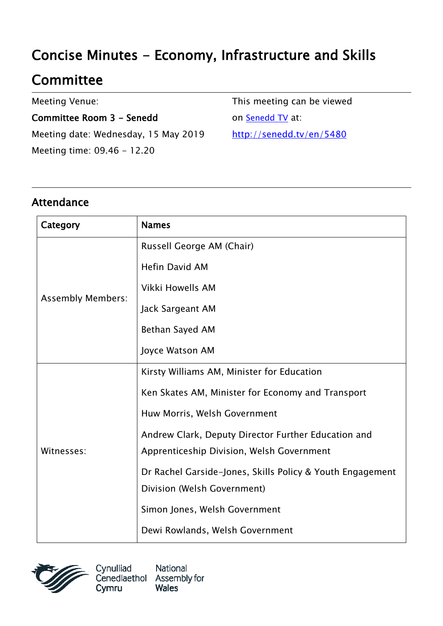# Concise Minutes - Economy, Infrastructure and Skills

## **Committee**

Meeting Venue:

Committee Room 3 - Senedd Meeting date: Wednesday, 15 May 2019 Meeting time: 09.46 - 12.20

This meeting can be viewed on [Senedd TV](http://senedd.tv/) at: http://senedd.tv/en/5480

## Attendance

| Category                 | <b>Names</b>                                              |
|--------------------------|-----------------------------------------------------------|
| <b>Assembly Members:</b> | Russell George AM (Chair)                                 |
|                          | <b>Hefin David AM</b>                                     |
|                          | Vikki Howells AM                                          |
|                          | Jack Sargeant AM                                          |
|                          | Bethan Sayed AM                                           |
|                          | Joyce Watson AM                                           |
| Witnesses:               | Kirsty Williams AM, Minister for Education                |
|                          | Ken Skates AM, Minister for Economy and Transport         |
|                          | Huw Morris, Welsh Government                              |
|                          | Andrew Clark, Deputy Director Further Education and       |
|                          | Apprenticeship Division, Welsh Government                 |
|                          | Dr Rachel Garside-Jones, Skills Policy & Youth Engagement |
|                          | Division (Welsh Government)                               |
|                          | Simon Jones, Welsh Government                             |
|                          | Dewi Rowlands, Welsh Government                           |

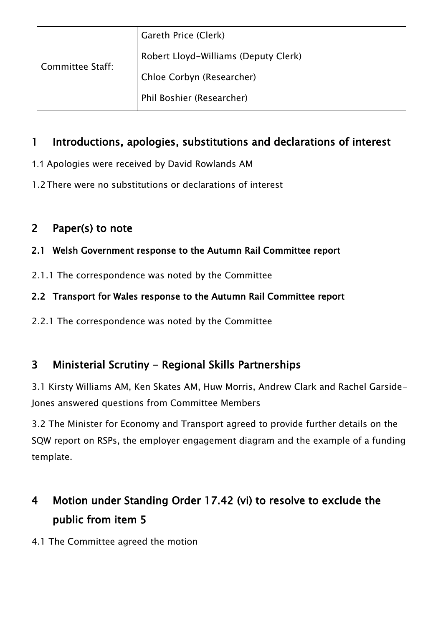| Committee Staff: | Gareth Price (Clerk)                 |
|------------------|--------------------------------------|
|                  | Robert Lloyd-Williams (Deputy Clerk) |
|                  | Chloe Corbyn (Researcher)            |
|                  | Phil Boshier (Researcher)            |
|                  |                                      |

## 1 Introductions, apologies, substitutions and declarations of interest

- 1.1 Apologies were received by David Rowlands AM
- 1.2There were no substitutions or declarations of interest

## 2 Paper(s) to note

#### 2.1 Welsh Government response to the Autumn Rail Committee report

2.1.1 The correspondence was noted by the Committee

#### 2.2 Transport for Wales response to the Autumn Rail Committee report

2.2.1 The correspondence was noted by the Committee

## 3 Ministerial Scrutiny - Regional Skills Partnerships

3.1 Kirsty Williams AM, Ken Skates AM, Huw Morris, Andrew Clark and Rachel Garside-Jones answered questions from Committee Members

3.2 The Minister for Economy and Transport agreed to provide further details on the SQW report on RSPs, the employer engagement diagram and the example of a funding template.

## 4 Motion under Standing Order 17.42 (vi) to resolve to exclude the public from item 5

4.1 The Committee agreed the motion